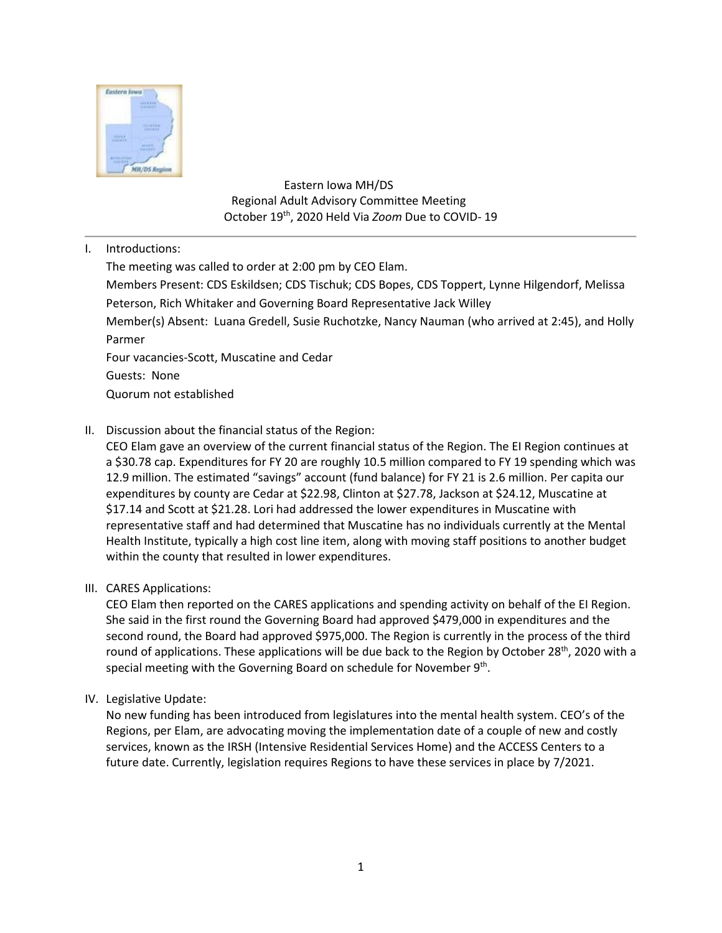

 Eastern Iowa MH/DS Regional Adult Advisory Committee Meeting October 19th, 2020 Held Via *Zoom* Due to COVID- 19

I. Introductions:

The meeting was called to order at 2:00 pm by CEO Elam. Members Present: CDS Eskildsen; CDS Tischuk; CDS Bopes, CDS Toppert, Lynne Hilgendorf, Melissa Peterson, Rich Whitaker and Governing Board Representative Jack Willey Member(s) Absent: Luana Gredell, Susie Ruchotzke, Nancy Nauman (who arrived at 2:45), and Holly Parmer Four vacancies-Scott, Muscatine and Cedar Guests: None Quorum not established

II. Discussion about the financial status of the Region:

CEO Elam gave an overview of the current financial status of the Region. The EI Region continues at a \$30.78 cap. Expenditures for FY 20 are roughly 10.5 million compared to FY 19 spending which was 12.9 million. The estimated "savings" account (fund balance) for FY 21 is 2.6 million. Per capita our expenditures by county are Cedar at \$22.98, Clinton at \$27.78, Jackson at \$24.12, Muscatine at \$17.14 and Scott at \$21.28. Lori had addressed the lower expenditures in Muscatine with representative staff and had determined that Muscatine has no individuals currently at the Mental Health Institute, typically a high cost line item, along with moving staff positions to another budget within the county that resulted in lower expenditures.

III. CARES Applications:

CEO Elam then reported on the CARES applications and spending activity on behalf of the EI Region. She said in the first round the Governing Board had approved \$479,000 in expenditures and the second round, the Board had approved \$975,000. The Region is currently in the process of the third round of applications. These applications will be due back to the Region by October 28<sup>th</sup>, 2020 with a special meeting with the Governing Board on schedule for November 9<sup>th</sup>.

IV. Legislative Update:

No new funding has been introduced from legislatures into the mental health system. CEO's of the Regions, per Elam, are advocating moving the implementation date of a couple of new and costly services, known as the IRSH (Intensive Residential Services Home) and the ACCESS Centers to a future date. Currently, legislation requires Regions to have these services in place by 7/2021.